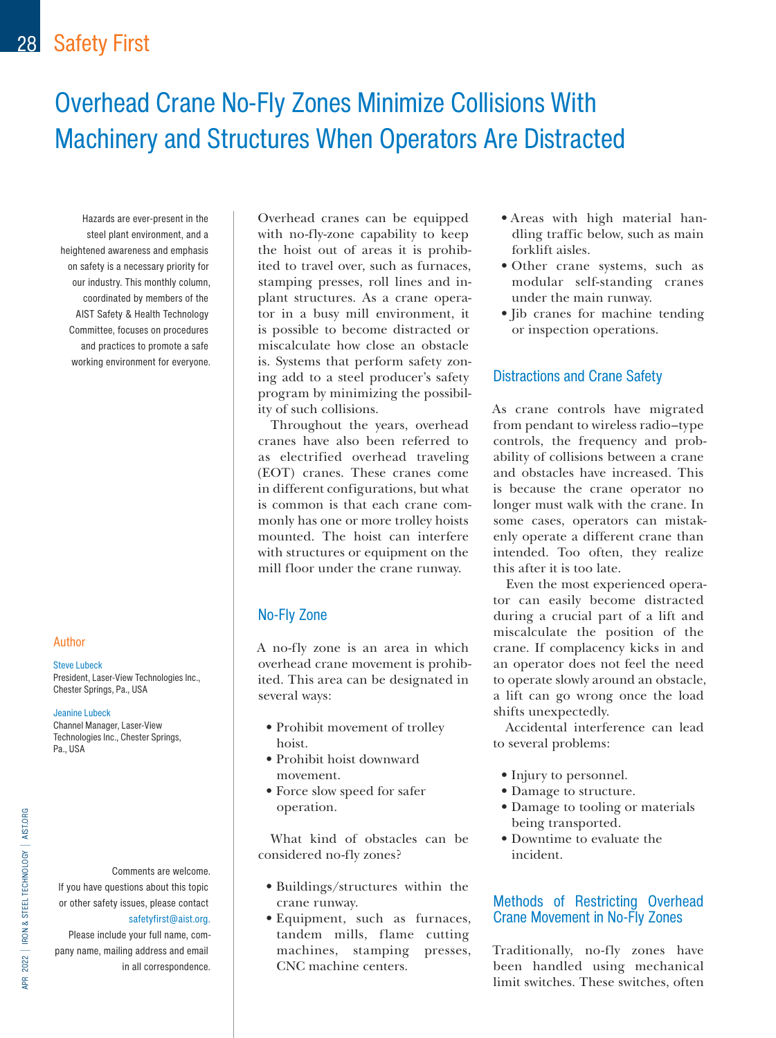# Overhead Crane No-Fly Zones Minimize Collisions With Machinery and Structures When Operators Are Distracted

Hazards are ever-present in the steel plant environment, and a heightened awareness and emphasis on safety is a necessary priority for our industry. This monthly column, coordinated by members of the AIST Safety & Health Technology Committee, focuses on procedures and practices to promote a safe working environment for everyone.

#### Author

#### Steve Lubeck

President, Laser-View Technologies Inc., Chester Springs, Pa., USA

#### Jeanine Lubeck

Channel Manager, Laser-View Technologies Inc., Chester Springs, Pa., USA

Comments are welcome. If you have questions about this topic or other safety issues, please contact [safetyfirst@aist.org](mailto:safetyfirst%40aist.org?subject=).

Please include your full name, company name, mailing address and email in all correspondence.

Overhead cranes can be equipped with no-fly-zone capability to keep the hoist out of areas it is prohibited to travel over, such as furnaces, stamping presses, roll lines and inplant structures. As a crane operator in a busy mill environment, it is possible to become distracted or miscalculate how close an obstacle is. Systems that perform safety zoning add to a steel producer's safety program by minimizing the possibility of such collisions.

Throughout the years, overhead cranes have also been referred to as electrified overhead traveling (EOT) cranes. These cranes come in different configurations, but what is common is that each crane commonly has one or more trolley hoists mounted. The hoist can interfere with structures or equipment on the mill floor under the crane runway.

### No-Fly Zone

A no-fly zone is an area in which overhead crane movement is prohibited. This area can be designated in several ways:

- Prohibit movement of trolley hoist.
- Prohibit hoist downward movement.
- Force slow speed for safer operation.

What kind of obstacles can be considered no-fly zones?

- Buildings/structures within the crane runway.
- Equipment, such as furnaces, tandem mills, flame cutting machines, stamping presses, CNC machine centers.
- Areas with high material handling traffic below, such as main forklift aisles.
- Other crane systems, such as modular self-standing cranes under the main runway.
- Jib cranes for machine tending or inspection operations.

#### Distractions and Crane Safety

As crane controls have migrated from pendant to wireless radio–type controls, the frequency and probability of collisions between a crane and obstacles have increased. This is because the crane operator no longer must walk with the crane. In some cases, operators can mistakenly operate a different crane than intended. Too often, they realize this after it is too late.

Even the most experienced operator can easily become distracted during a crucial part of a lift and miscalculate the position of the crane. If complacency kicks in and an operator does not feel the need to operate slowly around an obstacle, a lift can go wrong once the load shifts unexpectedly.

Accidental interference can lead to several problems:

- Injury to personnel.
- Damage to structure.
- Damage to tooling or materials being transported.
- Downtime to evaluate the incident.

### Methods of Restricting Overhead Crane Movement in No-Fly Zones

Traditionally, no-fly zones have been handled using mechanical limit switches. These switches, often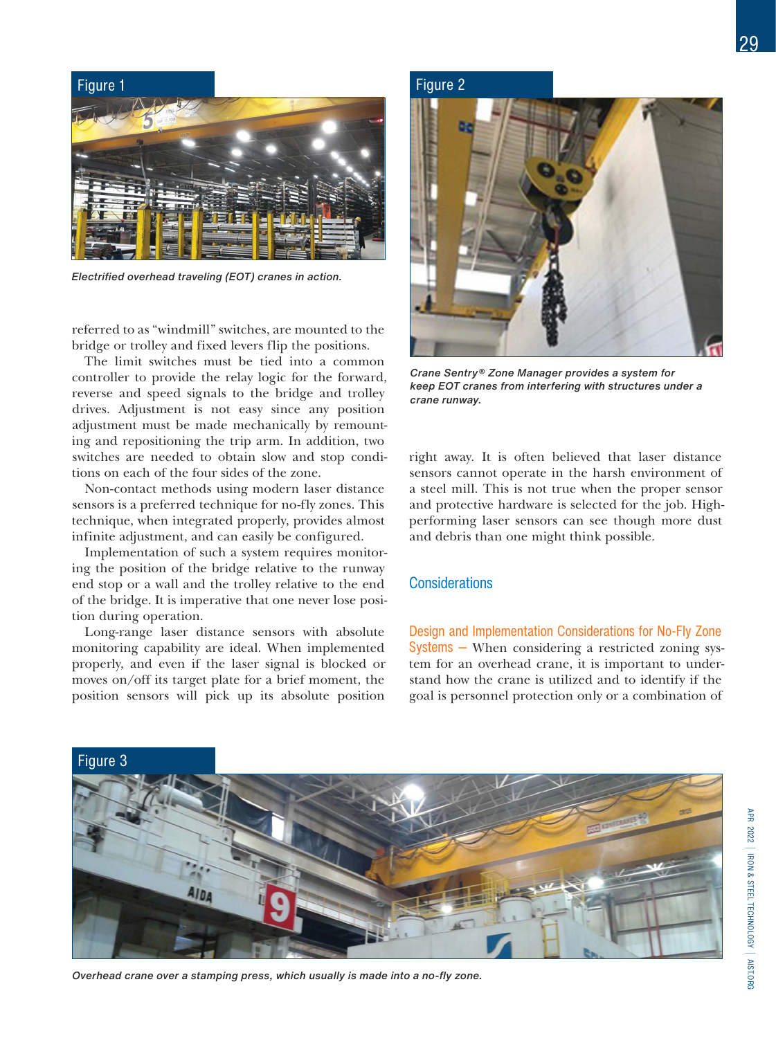

*Electrified overhead traveling (EOT) cranes in action.* 

referred to as "windmill" switches, are mounted to the bridge or trolley and fixed levers flip the positions.

The limit switches must be tied into a common controller to provide the relay logic for the forward, reverse and speed signals to the bridge and trolley drives. Adjustment is not easy since any position adjustment must be made mechanically by remounting and repositioning the trip arm. In addition, two switches are needed to obtain slow and stop conditions on each of the four sides of the zone.

Non-contact methods using modern laser distance sensors is a preferred technique for no-fly zones. This technique, when integrated properly, provides almost infinite adjustment, and can easily be configured.

Implementation of such a system requires monitoring the position of the bridge relative to the runway end stop or a wall and the trolley relative to the end of the bridge. It is imperative that one never lose position during operation.

Long-range laser distance sensors with absolute monitoring capability are ideal. When implemented properly, and even if the laser signal is blocked or moves on/off its target plate for a brief moment, the position sensors will pick up its absolute position



*Crane Sentry® Zone Manager provides a system for keep EOT cranes from interfering with structures under a crane runway.*

right away. It is often believed that laser distance sensors cannot operate in the harsh environment of a steel mill. This is not true when the proper sensor and protective hardware is selected for the job. Highperforming laser sensors can see though more dust and debris than one might think possible.

#### **Considerations**

Design and Implementation Considerations for No-Fly Zone Systems — When considering a restricted zoning system for an overhead crane, it is important to understand how the crane is utilized and to identify if the goal is personnel protection only or a combination of

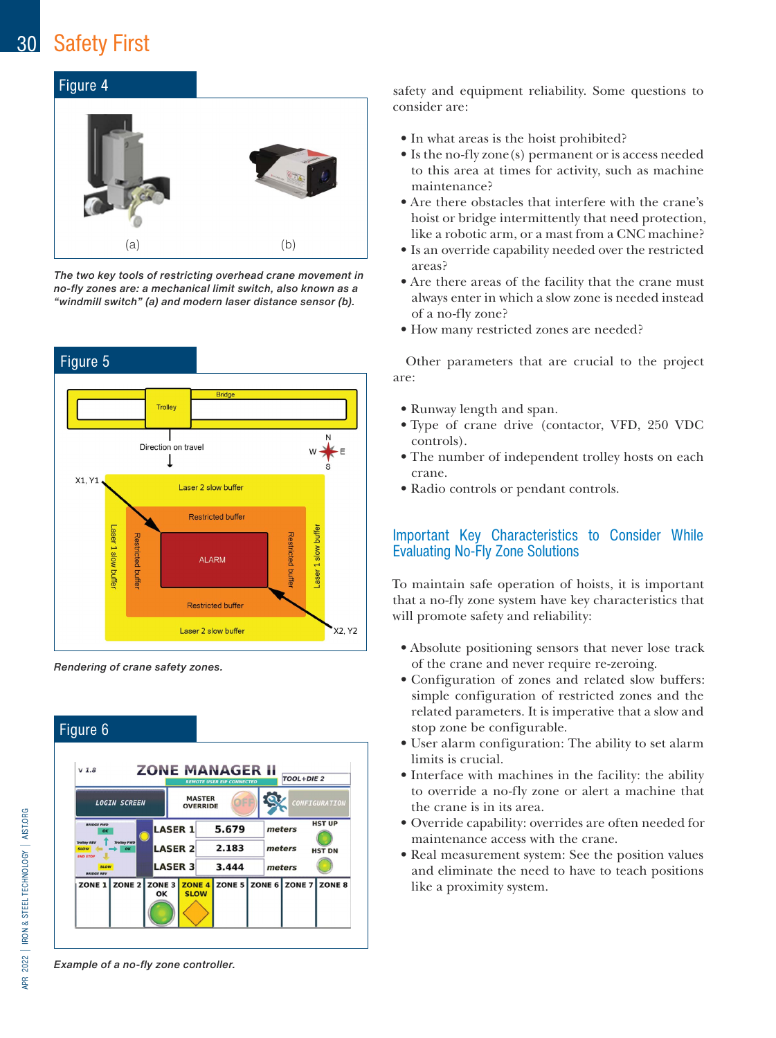## 30 Safety First

## Figure 4



*The two key tools of restricting overhead crane movement in no-fly zones are: a mechanical limit switch, also known as a "windmill switch" (a) and modern laser distance sensor (b).*



*Rendering of crane safety zones.* 



safety and equipment reliability. Some questions to consider are:

- In what areas is the hoist prohibited?
- Is the no-fly zone(s) permanent or is access needed to this area at times for activity, such as machine maintenance?
- Are there obstacles that interfere with the crane's hoist or bridge intermittently that need protection, like a robotic arm, or a mast from a CNC machine?
- Is an override capability needed over the restricted areas?
- Are there areas of the facility that the crane must always enter in which a slow zone is needed instead of a no-fly zone?
- How many restricted zones are needed?

Other parameters that are crucial to the project are:

- Runway length and span.
- Type of crane drive (contactor, VFD, 250 VDC controls).
- The number of independent trolley hosts on each crane.
- Radio controls or pendant controls.

### Important Key Characteristics to Consider While Evaluating No-Fly Zone Solutions

To maintain safe operation of hoists, it is important that a no-fly zone system have key characteristics that will promote safety and reliability:

- Absolute positioning sensors that never lose track of the crane and never require re-zeroing.
- Configuration of zones and related slow buffers: simple configuration of restricted zones and the related parameters. It is imperative that a slow and stop zone be configurable.
- User alarm configuration: The ability to set alarm limits is crucial.
- Interface with machines in the facility: the ability to override a no-fly zone or alert a machine that the crane is in its area.
- Override capability: overrides are often needed for maintenance access with the crane.
- Real measurement system: See the position values and eliminate the need to have to teach positions like a proximity system.

2022 | IRON & STEEL TECHNOLOGY | AIST.ORG APR 2022 I IRON & STEEL TECHNOLOGY I AIST.ORG **APR** 

*Example of a no-fly zone controller.*